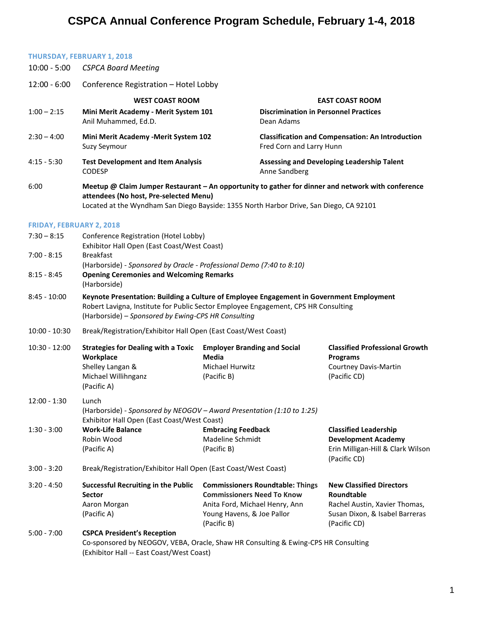## **CSPCA Annual Conference Program Schedule, February 1-4, 2018**

## **THURSDAY, FEBRUARY 1, 2018**

| $10:00 - 5:00$                  | <b>CSPCA Board Meeting</b>                                                                                                                                                                                                             |                                                                                                                                                             |                                                                                                                                  |  |  |
|---------------------------------|----------------------------------------------------------------------------------------------------------------------------------------------------------------------------------------------------------------------------------------|-------------------------------------------------------------------------------------------------------------------------------------------------------------|----------------------------------------------------------------------------------------------------------------------------------|--|--|
| $12:00 - 6:00$                  | Conference Registration - Hotel Lobby                                                                                                                                                                                                  |                                                                                                                                                             |                                                                                                                                  |  |  |
|                                 | <b>WEST COAST ROOM</b>                                                                                                                                                                                                                 |                                                                                                                                                             | <b>EAST COAST ROOM</b>                                                                                                           |  |  |
| $1:00 - 2:15$                   | Mini Merit Academy - Merit System 101<br>Anil Muhammed, Ed.D.                                                                                                                                                                          | Dean Adams                                                                                                                                                  | <b>Discrimination in Personnel Practices</b>                                                                                     |  |  |
| $2:30 - 4:00$                   | Mini Merit Academy - Merit System 102<br>Suzy Seymour                                                                                                                                                                                  |                                                                                                                                                             | <b>Classification and Compensation: An Introduction</b><br>Fred Corn and Larry Hunn                                              |  |  |
| $4:15 - 5:30$                   | <b>Test Development and Item Analysis</b><br><b>CODESP</b>                                                                                                                                                                             |                                                                                                                                                             | Assessing and Developing Leadership Talent<br>Anne Sandberg                                                                      |  |  |
| 6:00                            | Meetup @ Claim Jumper Restaurant - An opportunity to gather for dinner and network with conference<br>attendees (No host, Pre-selected Menu)<br>Located at the Wyndham San Diego Bayside: 1355 North Harbor Drive, San Diego, CA 92101 |                                                                                                                                                             |                                                                                                                                  |  |  |
| <b>FRIDAY, FEBRUARY 2, 2018</b> |                                                                                                                                                                                                                                        |                                                                                                                                                             |                                                                                                                                  |  |  |
| $7:30 - 8:15$                   | Conference Registration (Hotel Lobby)<br>Exhibitor Hall Open (East Coast/West Coast)                                                                                                                                                   |                                                                                                                                                             |                                                                                                                                  |  |  |
| $7:00 - 8:15$                   | <b>Breakfast</b><br>(Harborside) - Sponsored by Oracle - Professional Demo (7:40 to 8:10)                                                                                                                                              |                                                                                                                                                             |                                                                                                                                  |  |  |
| $8:15 - 8:45$                   | <b>Opening Ceremonies and Welcoming Remarks</b><br>(Harborside)                                                                                                                                                                        |                                                                                                                                                             |                                                                                                                                  |  |  |
| $8:45 - 10:00$                  | Keynote Presentation: Building a Culture of Employee Engagement in Government Employment<br>Robert Lavigna, Institute for Public Sector Employee Engagement, CPS HR Consulting<br>(Harborside) - Sponsored by Ewing-CPS HR Consulting  |                                                                                                                                                             |                                                                                                                                  |  |  |
| $10:00 - 10:30$                 | Break/Registration/Exhibitor Hall Open (East Coast/West Coast)                                                                                                                                                                         |                                                                                                                                                             |                                                                                                                                  |  |  |
| $10:30 - 12:00$                 | <b>Strategies for Dealing with a Toxic</b><br>Workplace<br>Shelley Langan &<br>Michael Willihnganz<br>(Pacific A)                                                                                                                      | <b>Employer Branding and Social</b><br><b>Media</b><br>Michael Hurwitz<br>(Pacific B)                                                                       | <b>Classified Professional Growth</b><br><b>Programs</b><br><b>Courtney Davis-Martin</b><br>(Pacific CD)                         |  |  |
| $12:00 - 1:30$                  | Lunch<br>(Harborside) - Sponsored by NEOGOV - Award Presentation (1:10 to 1:25)                                                                                                                                                        |                                                                                                                                                             |                                                                                                                                  |  |  |
| $1:30 - 3:00$                   | Exhibitor Hall Open (East Coast/West Coast)<br><b>Work-Life Balance</b><br>Robin Wood<br>(Pacific A)                                                                                                                                   | <b>Embracing Feedback</b><br>Madeline Schmidt<br>(Pacific B)                                                                                                | <b>Classified Leadership</b><br><b>Development Academy</b><br>Erin Milligan-Hill & Clark Wilson<br>(Pacific CD)                  |  |  |
| $3:00 - 3:20$                   | Break/Registration/Exhibitor Hall Open (East Coast/West Coast)                                                                                                                                                                         |                                                                                                                                                             |                                                                                                                                  |  |  |
| $3:20 - 4:50$                   | <b>Successful Recruiting in the Public</b><br><b>Sector</b><br>Aaron Morgan<br>(Pacific A)                                                                                                                                             | <b>Commissioners Roundtable: Things</b><br><b>Commissioners Need To Know</b><br>Anita Ford, Michael Henry, Ann<br>Young Havens, & Joe Pallor<br>(Pacific B) | <b>New Classified Directors</b><br>Roundtable<br>Rachel Austin, Xavier Thomas,<br>Susan Dixon, & Isabel Barreras<br>(Pacific CD) |  |  |
| $5:00 - 7:00$                   | <b>CSPCA President's Reception</b><br>Co-sponsored by NEOGOV, VEBA, Oracle, Shaw HR Consulting & Ewing-CPS HR Consulting<br>(Exhibitor Hall -- East Coast/West Coast)                                                                  |                                                                                                                                                             |                                                                                                                                  |  |  |